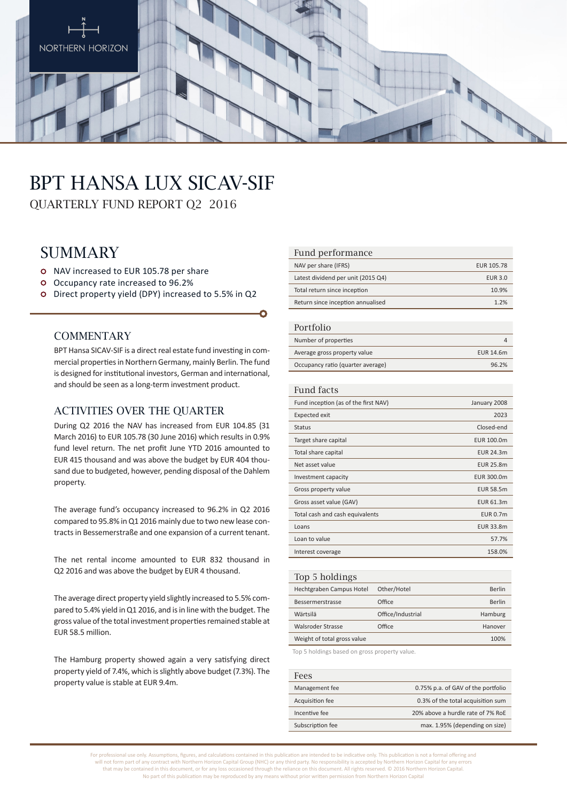

# BPT Hansa Lux SICAV-SIF

QUARTERLY FUND REPORT Q2 2016

# **SUMMARY**

- o NAV increased to EUR 105.78 per share
- Occupancy rate increased to 96.2%
- Direct property yield (DPY) increased to 5.5% in Q2

#### **COMMENTARY**

BPT Hansa SICAV-SIF is a direct real estate fund investing in commercial properties in Northern Germany, mainly Berlin. The fund is designed for institutional investors, German and international, and should be seen as a long-term investment product.

#### ACTIVITIES OVER THE OUARTER

During Q2 2016 the NAV has increased from EUR 104.85 (31 March 2016) to EUR 105.78 (30 June 2016) which results in 0.9% fund level return. The net profit June YTD 2016 amounted to EUR 415 thousand and was above the budget by EUR 404 thousand due to budgeted, however, pending disposal of the Dahlem property.

The average fund's occupancy increased to 96.2% in Q2 2016 compared to 95.8% in Q1 2016 mainly due to two new lease contracts in Bessemerstraße and one expansion of a current tenant.

The net rental income amounted to EUR 832 thousand in Q2 2016 and was above the budget by EUR 4 thousand.

The average direct property yield slightly increased to 5.5% compared to 5.4% yield in Q1 2016, and is in line with the budget. The gross value of the total investment properties remained stable at EUR 58.5 million.

The Hamburg property showed again a very satisfying direct property yield of 7.4%, which is slightly above budget (7.3%). The property value is stable at EUR 9.4m.

#### Fund performance

| NAV per share (IFRS)               | EUR 105.78     |
|------------------------------------|----------------|
| Latest dividend per unit (2015 Q4) | <b>EUR 3.0</b> |
| Total return since inception       | 10.9%          |
| Return since inception annualised  | 1.2%           |

#### Portfolio

| T OT LIQITO                       |           |
|-----------------------------------|-----------|
| Number of properties              |           |
| Average gross property value      | EUR 14.6m |
| Occupancy ratio (quarter average) | 96.2%     |

#### Fund facts

| Fund inception (as of the first NAV) | January 2008     |
|--------------------------------------|------------------|
| <b>Expected exit</b>                 | 2023             |
| <b>Status</b>                        | Closed-end       |
| Target share capital                 | EUR 100.0m       |
| Total share capital                  | EUR 24.3m        |
| Net asset value                      | <b>EUR 25.8m</b> |
| Investment capacity                  | EUR 300.0m       |
| Gross property value                 | <b>EUR 58.5m</b> |
| Gross asset value (GAV)              | EUR 61.3m        |
| Total cash and cash equivalents      | <b>EUR 0.7m</b>  |
| Loans                                | EUR 33.8m        |
| Loan to value                        | 57.7%            |
| Interest coverage                    | 158.0%           |
|                                      |                  |

| Top 5 holdings              |                   |         |
|-----------------------------|-------------------|---------|
| Hechtgraben Campus Hotel    | Other/Hotel       | Berlin  |
| Bessermerstrasse            | Office            | Berlin  |
| Wärtsilä                    | Office/Industrial | Hamburg |
| Walsroder Strasse           | Office            | Hanover |
| Weight of total gross value |                   | 100%    |
|                             |                   |         |

Top 5 holdings based on gross property value.

| <b>Fees</b>      |                                    |
|------------------|------------------------------------|
| Management fee   | 0.75% p.a. of GAV of the portfolio |
| Acquisition fee  | 0.3% of the total acquisition sum  |
| Incentive fee    | 20% above a hurdle rate of 7% RoE  |
| Subscription fee | max. 1.95% (depending on size)     |

For professional use only. Assumptions, figures, and calculations contained in this publication are intended to be indicative only. This publication is not a formal offering and will not form part of any contract with Northern Horizon Capital Group (NHC) or any third party. No responsibility is accepted by Northern Horizon Capital for any errors that may be contained in this document, or for any loss occasioned through the reliance on this document. All rights reserved. © 2016 Northern Horizon Capital. No part of this publication may be reproduced by any means without prior written permission from Northern Horizon Capital